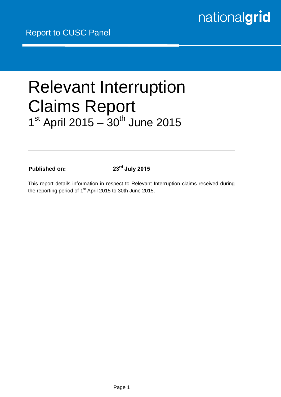# Relevant Interruption Claims Report 1<sup>st</sup> April 2015 - 30<sup>th</sup> June 2015

**Published on: 23rd July 2015**

This report details information in respect to Relevant Interruption claims received during the reporting period of 1<sup>st</sup> April 2015 to 30th June 2015.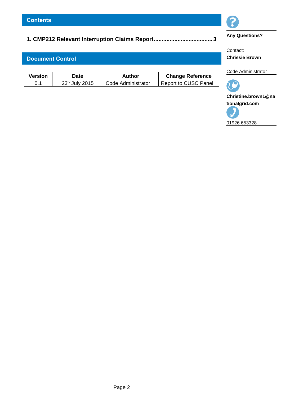## **[1. CMP212 Relevant Interruption Claims Report.....................................](#page-2-0) 3**

### **Document Control**

| <b>Version</b> | Date                       | Author             | <b>Change Reference</b> |
|----------------|----------------------------|--------------------|-------------------------|
| 0.1            | $23^{\text{rd}}$ July 2015 | Code Administrator | Report to CUSC Panel    |



**Any Questions?**

Contact: **Chrissie Brown** 

Code Administrator



**Christine.brown1@na tionalgrid.com**

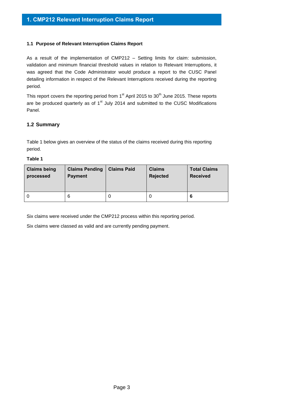#### <span id="page-2-0"></span>**1.1 Purpose of Relevant Interruption Claims Report**

As a result of the implementation of CMP212 – Setting limits for claim: submission, validation and minimum financial threshold values in relation to Relevant Interruptions, it was agreed that the Code Administrator would produce a report to the CUSC Panel detailing information in respect of the Relevant Interruptions received during the reporting period.

This report covers the reporting period from  $1<sup>st</sup>$  April 2015 to 30<sup>th</sup> June 2015. These reports are be produced quarterly as of  $1<sup>st</sup>$  July 2014 and submitted to the CUSC Modifications Panel.

#### **1.2 Summary**

Table 1 below gives an overview of the status of the claims received during this reporting period.

#### **Table 1**

| <b>Claims being</b> | <b>Claims Pending</b> | <b>Claims Paid</b> | <b>Claims</b>   | <b>Total Claims</b> |
|---------------------|-----------------------|--------------------|-----------------|---------------------|
| processed           | <b>Payment</b>        |                    | <b>Rejected</b> | <b>Received</b>     |
| 0                   | 6                     | υ                  | υ               | 6                   |

Six claims were received under the CMP212 process within this reporting period.

Six claims were classed as valid and are currently pending payment.